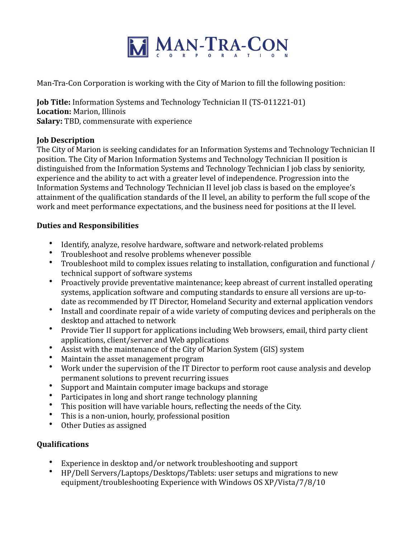

Man-Tra-Con Corporation is working with the City of Marion to fill the following position:

**Job Title:** Information Systems and Technology Technician II (TS-011221-01) **Location:** Marion, Illinois **Salary:** TBD, commensurate with experience

## **Job Description**

The City of Marion is seeking candidates for an Information Systems and Technology Technician II position. The City of Marion Information Systems and Technology Technician II position is distinguished from the Information Systems and Technology Technician I job class by seniority, experience and the ability to act with a greater level of independence. Progression into the Information Systems and Technology Technician II level job class is based on the employee's attainment of the qualification standards of the II level, an ability to perform the full scope of the work and meet performance expectations, and the business need for positions at the II level.

## **Duties and Responsibilities**

- Identify, analyze, resolve hardware, software and network-related problems
- Troubleshoot and resolve problems whenever possible
- Troubleshoot mild to complex issues relating to installation, configuration and functional / technical support of software systems
- Proactively provide preventative maintenance; keep abreast of current installed operating systems, application software and computing standards to ensure all versions are up-todate as recommended by IT Director, Homeland Security and external application vendors
- Install and coordinate repair of a wide variety of computing devices and peripherals on the desktop and attached to network
- Provide Tier II support for applications including Web browsers, email, third party client applications, client/server and Web applications
- Assist with the maintenance of the City of Marion System (GIS) system
- Maintain the asset management program
- Work under the supervision of the IT Director to perform root cause analysis and develop permanent solutions to prevent recurring issues
- Support and Maintain computer image backups and storage
- Participates in long and short range technology planning
- This position will have variable hours, reflecting the needs of the City.<br>• This is a non-union hourly professional position
- This is a non-union, hourly, professional position
- Other Duties as assigned

# **Qualifications**

- Experience in desktop and/or network troubleshooting and support
- HP/Dell Servers/Laptops/Desktops/Tablets: user setups and migrations to new equipment/troubleshooting Experience with Windows OS XP/Vista/7/8/10